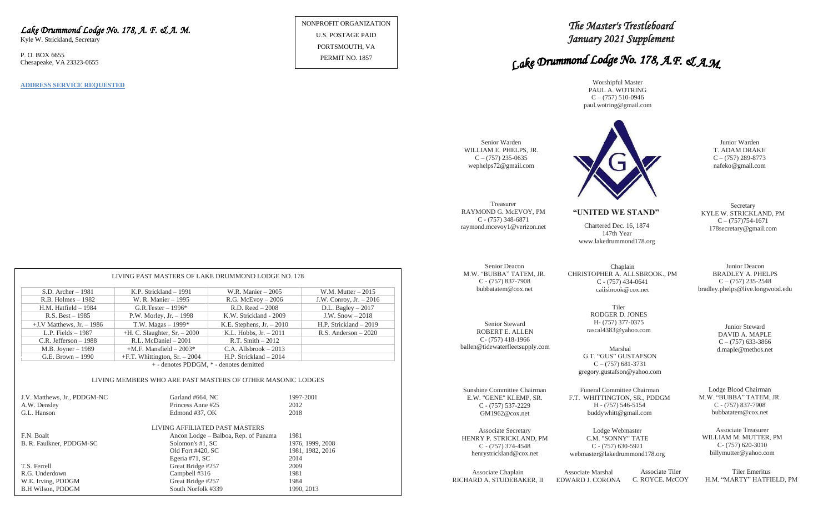#### *Lake Drummond Lodge No. 178, A. F. & A. M.*

Kyle W. Strickland, Secretary

P. O. BOX 6655 Chesapeake, VA 23323-0655

**ADDRESS SERVICE REQUESTED**

NONPROFIT ORGANIZATION U.S. POSTAGE PAID PORTSMOUTH, VA PERMIT NO. 1857

*The Master's Trestleboard January 2021 Supplement* 

# Lake Drummond Lodge No. 178, A.F. & A.M.

Worshipful Master PAUL A. WOTRING  $C - (757)$  510-0946 paul.wotring@gmail.com



Junior Warden T. ADAM DRAKE nafeko@gmail.com

KYLE W. STRICKLAND, PM  $C - (757)754-1671$ 178secretary@gmail.com

Junior Deacon BRADLEY A. PHELPS  $C - (757)$  235-2548 bradley.phelps@live.longwood.edu

> Junior Steward DAVID A. MAPLE  $C - (757)$  633-3866

Lodge Blood Chairman M.W. "BUBBA" TATEM, JR. C - (757) 837-7908 bubbatatem@cox.net

Associate Treasurer WILLIAM M. MUTTER, PM C- (757) 620-3010 billymutter@yahoo.com

Associate Chaplain RICHARD A. STUDEBAKER, II

Associate Marshal EDWARD J. CORONA Associate Tiler C. ROYCE. McCOY

Tiler Emeritus H.M. "MARTY" HATFIELD, PM

|                                                             | LIVING PAST MASTERS OF LAKE DRUMMOND LODGE NO. 178 |                             |                  |                          |  |  |
|-------------------------------------------------------------|----------------------------------------------------|-----------------------------|------------------|--------------------------|--|--|
| $S.D.$ Archer $-1981$                                       | $K.P. Strickland - 1991$                           | W.R. Manier $-2005$         |                  | W.M. Mutter $-2015$      |  |  |
| $R.B.$ Holmes $-1982$                                       | W. R. Manier - 1995                                | R.G. McEvoy $-2006$         |                  | J.W. Conroy, Jr. $-2016$ |  |  |
| $H.M.$ Hatfield $-1984$                                     | G.R.Tester $-1996*$                                | $R.D. Reed - 2008$          |                  | D.L. Bagley $-2017$      |  |  |
| $R.S. Best - 1985$                                          | P.W. Morley, Jr. $-1998$                           | K.W. Strickland - 2009      |                  | J.W. Snow $-2018$        |  |  |
| $+J.V$ Matthews, Jr. $-1986$                                | T.W. Magas $-1999*$                                | K.E. Stephens, $Jr. - 2010$ |                  | H.P. Strickland $-2019$  |  |  |
| L.P. Fields $-1987$                                         | $+H$ . C. Slaughter, Sr. $-2000$                   | K.L. Hobbs, $Jr. - 2011$    |                  | R.S. Anderson $-2020$    |  |  |
| $C.R.$ Jefferson $-1988$                                    | $R.I.$ McDaniel $-2001$                            | $R.T. Smith - 2012$         |                  |                          |  |  |
| M.B. Joyner - 1989                                          | $+M.F.$ Mansfield $-2003*$                         | $C.A.$ Allsbrook $-2013$    |                  |                          |  |  |
| G.E. Brown - 1990                                           | $+F.T.$ Whittington, Sr. $-2004$                   | H.P. Strickland $-2014$     |                  |                          |  |  |
| + - denotes PDDGM, * - denotes demitted                     |                                                    |                             |                  |                          |  |  |
| LIVING MEMBERS WHO ARE PAST MASTERS OF OTHER MASONIC LODGES |                                                    |                             |                  |                          |  |  |
| J.V. Matthews, Jr., PDDGM-NC                                | Garland #664, NC                                   |                             | 1997-2001        |                          |  |  |
| A.W. Densley                                                | Princess Anne#25                                   |                             | 2012             |                          |  |  |
| G.L. Hanson                                                 | Edmond #37, OK                                     |                             | 2018             |                          |  |  |
| LIVING AFFILIATED PAST MASTERS                              |                                                    |                             |                  |                          |  |  |
| F.N. Boalt                                                  | Ancon Lodge – Balboa, Rep. of Panama<br>1981       |                             |                  |                          |  |  |
| B. R. Faulkner, PDDGM-SC                                    | Solomon's #1, SC                                   |                             | 1976, 1999, 2008 |                          |  |  |
| Old Fort #420, SC                                           |                                                    |                             | 1981, 1982, 2016 |                          |  |  |
|                                                             | Egeria #71, SC                                     |                             | 2014             |                          |  |  |
| T.S. Ferrell                                                | Great Bridge #257                                  |                             | 2009             |                          |  |  |
| R.G. Underdown                                              | Campbell #316                                      |                             | 1981             |                          |  |  |

W.E. Irving, PDDGM Great Bridge #257 1984 B.H Wilson, PDDGM South Norfolk #339 1990, 2013